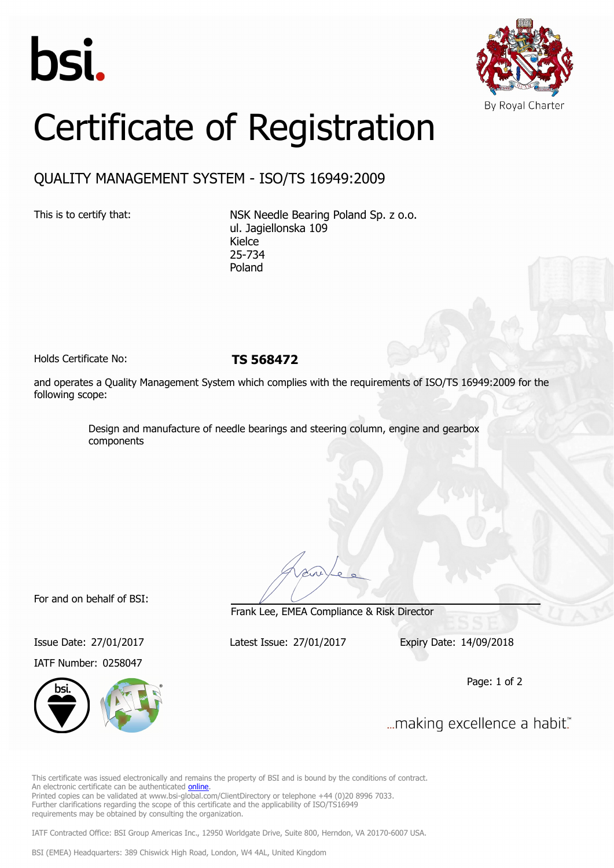



## Certificate of Registration

## QUALITY MANAGEMENT SYSTEM - ISO/TS 16949:2009

This is to certify that: NSK Needle Bearing Poland Sp. z o.o. ul. Jagiellonska 109 Kielce 25-734 Poland

Holds Certificate No: **TS 568472**

and operates a Quality Management System which complies with the requirements of ISO/TS 16949:2009 for the following scope:

> Design and manufacture of needle bearings and steering column, engine and gearbox components

For and on behalf of BSI:

IATF Number: 0258047



Frank Lee, EMEA Compliance & Risk Director

Issue Date: 27/01/2017 Latest Issue: 27/01/2017 Expiry Date: 14/09/2018

Page: 1 of 2

... making excellence a habit."

This certificate was issued electronically and remains the property of BSI and is bound by the conditions of contract. An electronic certificate can be authenticated [online](https://pgplus.bsigroup.com/CertificateValidation/CertificateValidator.aspx?CertificateNumber=TS+568472&ReIssueDate=27%2f01%2f2017&Template=cemea_en). Printed copies can be validated at www.bsi-global.com/ClientDirectory or telephone +44 (0)20 8996 7033. Further clarifications regarding the scope of this certificate and the applicability of ISO/TS16949 requirements may be obtained by consulting the organization.

IATF Contracted Office: BSI Group Americas Inc., 12950 Worldgate Drive, Suite 800, Herndon, VA 20170-6007 USA.

BSI (EMEA) Headquarters: 389 Chiswick High Road, London, W4 4AL, United Kingdom